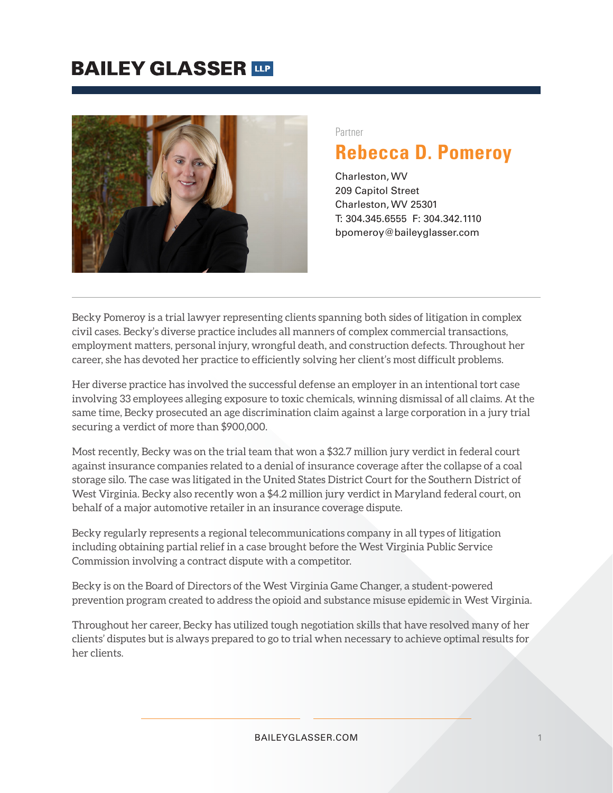### **BAILEY GLASSER TIP**



#### Partner

### **Rebecca D. Pomeroy**

Charleston, WV 209 Capitol Street Charleston, WV 25301 T: 304.345.6555 F: 304.342.1110 bpomeroy@baileyglasser.com

Becky Pomeroy is a trial lawyer representing clients spanning both sides of litigation in complex civil cases. Becky's diverse practice includes all manners of complex commercial transactions, employment matters, personal injury, wrongful death, and construction defects. Throughout her career, she has devoted her practice to efficiently solving her client's most difficult problems.

Her diverse practice has involved the successful defense an employer in an intentional tort case involving 33 employees alleging exposure to toxic chemicals, winning dismissal of all claims. At the same time, Becky prosecuted an age discrimination claim against a large corporation in a jury trial securing a verdict of more than \$900,000.

Most recently, Becky was on the trial team that won a \$32.7 million jury verdict in federal court against insurance companies related to a denial of insurance coverage after the collapse of a coal storage silo. The case was litigated in the United States District Court for the Southern District of West Virginia. Becky also recently won a \$4.2 million jury verdict in Maryland federal court, on behalf of a major automotive retailer in an insurance coverage dispute.

Becky regularly represents a regional telecommunications company in all types of litigation including obtaining partial relief in a case brought before the West Virginia Public Service Commission involving a contract dispute with a competitor.

Becky is on the Board of Directors of the West Virginia Game Changer, a student-powered prevention program created to address the opioid and substance misuse epidemic in West Virginia.

Throughout her career, Becky has utilized tough negotiation skills that have resolved many of her clients' disputes but is always prepared to go to trial when necessary to achieve optimal results for her clients.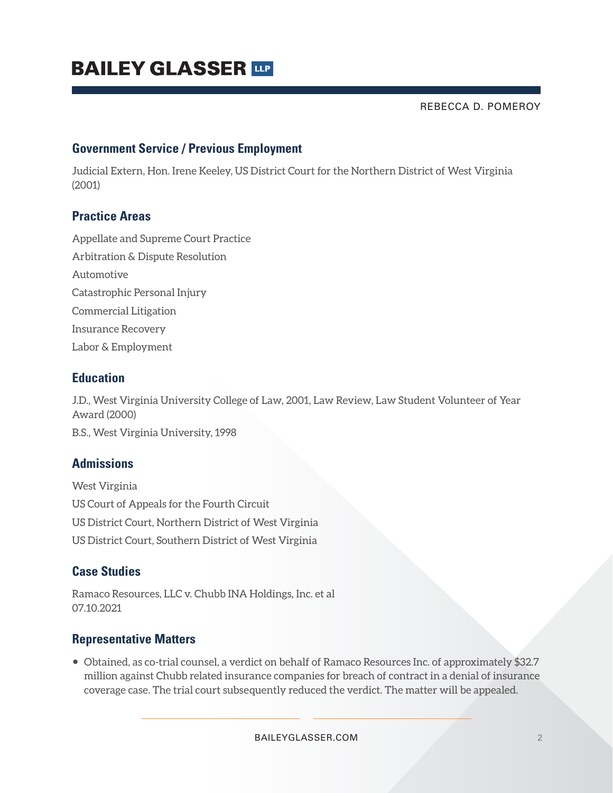# **BAILEY GLASSER THE**

REBECCA D. POMEROY

#### **Government Service / Previous Employment**

Judicial Extern, Hon. Irene Keeley, US District Court for the Northern District of West Virginia (2001)

#### **Practice Areas**

Appellate and Supreme Court Practice Arbitration & Dispute Resolution Automotive Catastrophic Personal Injury Commercial Litigation Insurance Recovery Labor & Employment

#### **Education**

J.D., West Virginia University College of Law, 2001, Law Review, Law Student Volunteer of Year Award (2000) B.S., West Virginia University, 1998

#### **Admissions**

West Virginia US Court of Appeals for the Fourth Circuit US District Court, Northern District of West Virginia US District Court, Southern District of West Virginia

#### **Case Studies**

Ramaco Resources, LLC v. Chubb INA Holdings, Inc. et al 07.10.2021

#### **Representative Matters**

● Obtained, as co-trial counsel, a verdict on behalf of Ramaco Resources Inc. of approximately \$32.7 million against Chubb related insurance companies for breach of contract in a denial of insurance coverage case. The trial court subsequently reduced the verdict. The matter will be appealed.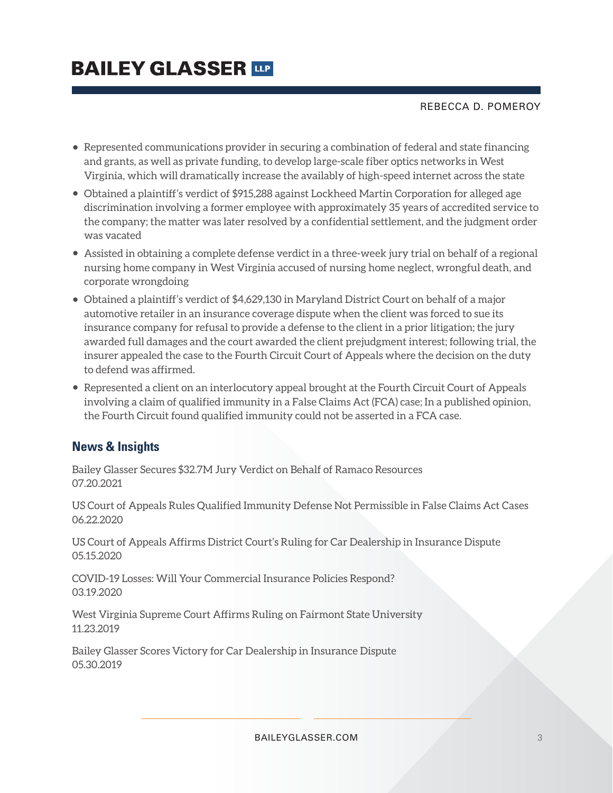## **BAILEY GLASSER TIP**

REBECCA D. POMEROY

- Represented communications provider in securing a combination of federal and state financing and grants, as well as private funding, to develop large-scale fiber optics networks in West Virginia, which will dramatically increase the availably of high-speed internet across the state
- Obtained a plaintiff's verdict of \$915,288 against Lockheed Martin Corporation for alleged age discrimination involving a former employee with approximately 35 years of accredited service to the company; the matter was later resolved by a confidential settlement, and the judgment order was vacated
- Assisted in obtaining a complete defense verdict in a three-week jury trial on behalf of a regional nursing home company in West Virginia accused of nursing home neglect, wrongful death, and corporate wrongdoing
- Obtained a plaintiff's verdict of \$4,629,130 in Maryland District Court on behalf of a major automotive retailer in an insurance coverage dispute when the client was forced to sue its insurance company for refusal to provide a defense to the client in a prior litigation; the jury awarded full damages and the court awarded the client prejudgment interest; following trial, the insurer appealed the case to the Fourth Circuit Court of Appeals where the decision on the duty to defend was affirmed.
- Represented a client on an interlocutory appeal brought at the Fourth Circuit Court of Appeals involving a claim of qualified immunity in a False Claims Act (FCA) case; In a published opinion, the Fourth Circuit found qualified immunity could not be asserted in a FCA case.

### **News & Insights**

Bailey Glasser Secures \$32.7M Jury Verdict on Behalf of Ramaco Resources 07.20.2021

US Court of Appeals Rules Qualified Immunity Defense Not Permissible in False Claims Act Cases 06.22.2020

US Court of Appeals Affirms District Court's Ruling for Car Dealership in Insurance Dispute 05.15.2020

COVID-19 Losses: Will Your Commercial Insurance Policies Respond? 03.19.2020

West Virginia Supreme Court Affirms Ruling on Fairmont State University 11.23.2019

Bailey Glasser Scores Victory for Car Dealership in Insurance Dispute 05.30.2019